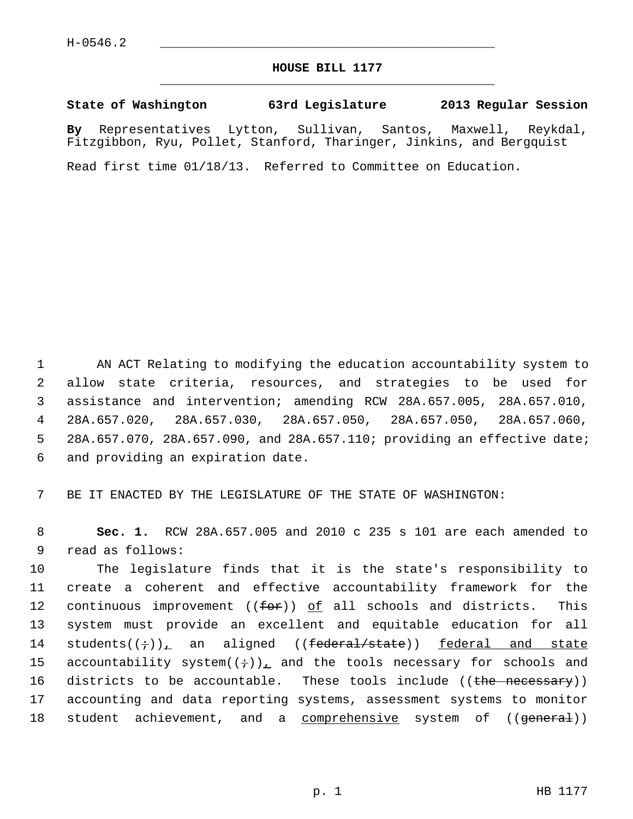## **HOUSE BILL 1177** \_\_\_\_\_\_\_\_\_\_\_\_\_\_\_\_\_\_\_\_\_\_\_\_\_\_\_\_\_\_\_\_\_\_\_\_\_\_\_\_\_\_\_\_\_

## **State of Washington 63rd Legislature 2013 Regular Session**

**By** Representatives Lytton, Sullivan, Santos, Maxwell, Reykdal, Fitzgibbon, Ryu, Pollet, Stanford, Tharinger, Jinkins, and Bergquist

Read first time 01/18/13. Referred to Committee on Education.

 1 AN ACT Relating to modifying the education accountability system to 2 allow state criteria, resources, and strategies to be used for 3 assistance and intervention; amending RCW 28A.657.005, 28A.657.010, 4 28A.657.020, 28A.657.030, 28A.657.050, 28A.657.050, 28A.657.060, 5 28A.657.070, 28A.657.090, and 28A.657.110; providing an effective date; 6 and providing an expiration date.

7 BE IT ENACTED BY THE LEGISLATURE OF THE STATE OF WASHINGTON:

 8 **Sec. 1.** RCW 28A.657.005 and 2010 c 235 s 101 are each amended to 9 read as follows:

10 The legislature finds that it is the state's responsibility to 11 create a coherent and effective accountability framework for the 12 continuous improvement ( $(for)$ ) of all schools and districts. This 13 system must provide an excellent and equitable education for all 14 students $((\div))_{\perp}$  an aligned  $((\text{federal/state}))$  federal and state 15 accountability system $((\div))_L$  and the tools necessary for schools and 16 districts to be accountable. These tools include ((the necessary)) 17 accounting and data reporting systems, assessment systems to monitor 18 student achievement, and a comprehensive system of ((general))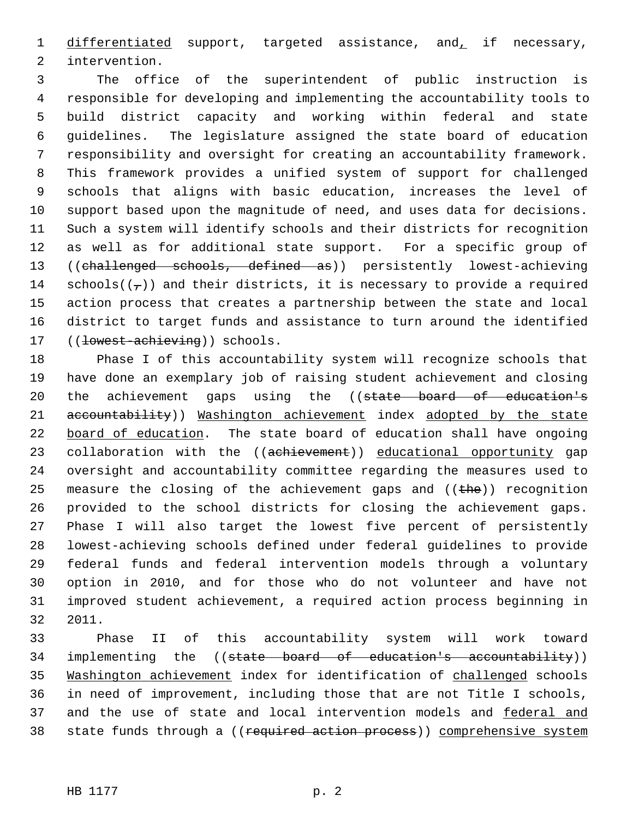1 differentiated support, targeted assistance, and, if necessary, 2 intervention.

 3 The office of the superintendent of public instruction is 4 responsible for developing and implementing the accountability tools to 5 build district capacity and working within federal and state 6 guidelines. The legislature assigned the state board of education 7 responsibility and oversight for creating an accountability framework. 8 This framework provides a unified system of support for challenged 9 schools that aligns with basic education, increases the level of 10 support based upon the magnitude of need, and uses data for decisions. 11 Such a system will identify schools and their districts for recognition 12 as well as for additional state support. For a specific group of 13 ((challenged schools, defined as)) persistently lowest-achieving 14 schools( $(\tau)$ ) and their districts, it is necessary to provide a required 15 action process that creates a partnership between the state and local 16 district to target funds and assistance to turn around the identified 17 ((lowest-achieving)) schools.

18 Phase I of this accountability system will recognize schools that 19 have done an exemplary job of raising student achievement and closing 20 the achievement gaps using the ((state board of education's 21 accountability)) Washington achievement index adopted by the state 22 board of education. The state board of education shall have ongoing 23 collaboration with the ((achievement)) educational opportunity gap 24 oversight and accountability committee regarding the measures used to 25 measure the closing of the achievement gaps and  $($  ( $t$ he)) recognition 26 provided to the school districts for closing the achievement gaps. 27 Phase I will also target the lowest five percent of persistently 28 lowest-achieving schools defined under federal guidelines to provide 29 federal funds and federal intervention models through a voluntary 30 option in 2010, and for those who do not volunteer and have not 31 improved student achievement, a required action process beginning in 32 2011.

33 Phase II of this accountability system will work toward 34 implementing the ((state board of education's accountability)) 35 Washington achievement index for identification of challenged schools 36 in need of improvement, including those that are not Title I schools, 37 and the use of state and local intervention models and federal and 38 state funds through a ((required action process)) comprehensive system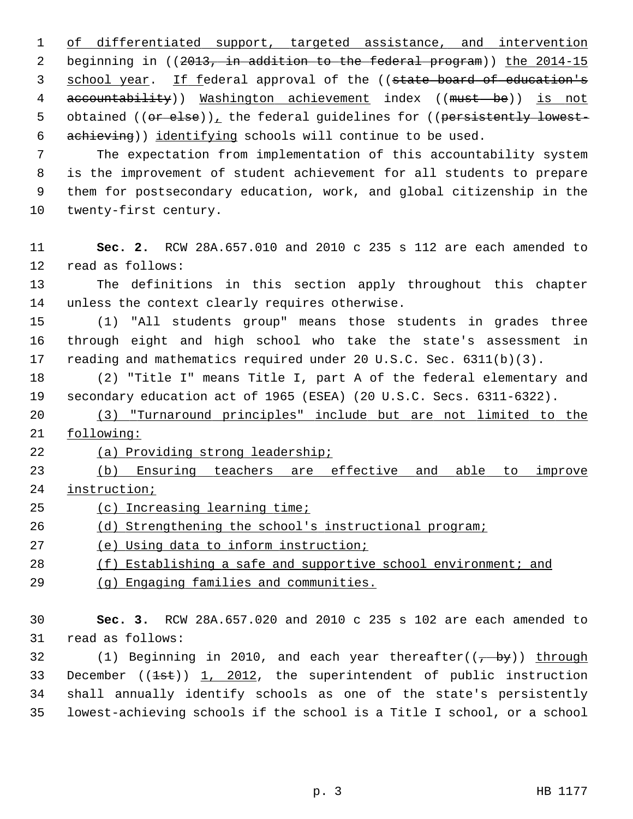1 of differentiated support, targeted assistance, and intervention 2 beginning in ((2013, in addition to the federal program)) the 2014-15 3 school year. If federal approval of the ((state board of education's 4 accountability)) Washington achievement index ((must be)) is not 5 obtained ((or else)), the federal guidelines for ((persistently lowest-6 achieving)) identifying schools will continue to be used.

 7 The expectation from implementation of this accountability system 8 is the improvement of student achievement for all students to prepare 9 them for postsecondary education, work, and global citizenship in the 10 twenty-first century.

11 **Sec. 2.** RCW 28A.657.010 and 2010 c 235 s 112 are each amended to 12 read as follows:

13 The definitions in this section apply throughout this chapter 14 unless the context clearly requires otherwise.

15 (1) "All students group" means those students in grades three 16 through eight and high school who take the state's assessment in 17 reading and mathematics required under 20 U.S.C. Sec. 6311(b)(3).

18 (2) "Title I" means Title I, part A of the federal elementary and 19 secondary education act of 1965 (ESEA) (20 U.S.C. Secs. 6311-6322).

20 (3) "Turnaround principles" include but are not limited to the 21 following:

22 (a) Providing strong leadership;

23 (b) Ensuring teachers are effective and able to improve 24 instruction;

25 (c) Increasing learning time;

26 (d) Strengthening the school's instructional program;

27 (e) Using data to inform instruction;

28 (f) Establishing a safe and supportive school environment; and

29 (g) Engaging families and communities.

30 **Sec. 3.** RCW 28A.657.020 and 2010 c 235 s 102 are each amended to 31 read as follows:

32 (1) Beginning in 2010, and each year thereafter( $\frac{1}{2}$  by)) through 33 December  $((1st))$  1, 2012, the superintendent of public instruction 34 shall annually identify schools as one of the state's persistently 35 lowest-achieving schools if the school is a Title I school, or a school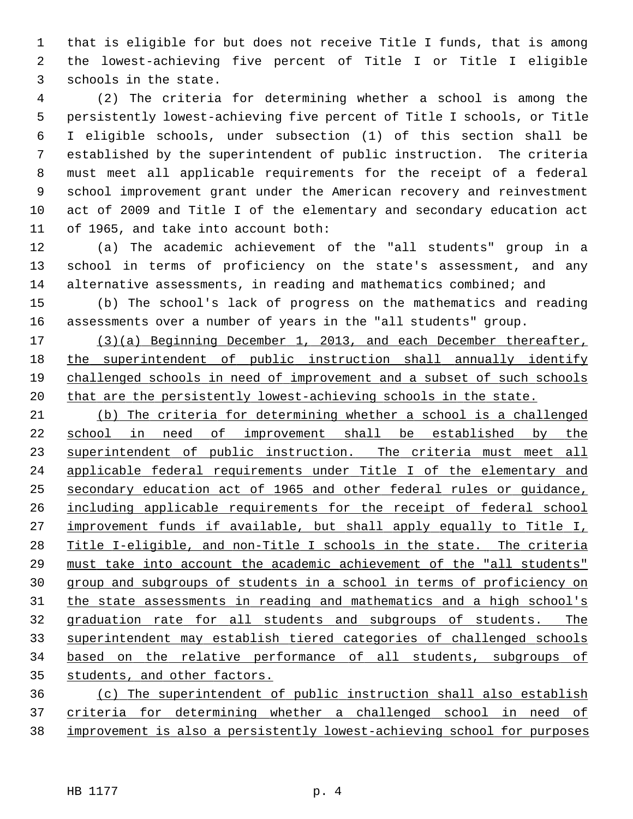1 that is eligible for but does not receive Title I funds, that is among 2 the lowest-achieving five percent of Title I or Title I eligible 3 schools in the state.

 4 (2) The criteria for determining whether a school is among the 5 persistently lowest-achieving five percent of Title I schools, or Title 6 I eligible schools, under subsection (1) of this section shall be 7 established by the superintendent of public instruction. The criteria 8 must meet all applicable requirements for the receipt of a federal 9 school improvement grant under the American recovery and reinvestment 10 act of 2009 and Title I of the elementary and secondary education act 11 of 1965, and take into account both:

12 (a) The academic achievement of the "all students" group in a 13 school in terms of proficiency on the state's assessment, and any 14 alternative assessments, in reading and mathematics combined; and

15 (b) The school's lack of progress on the mathematics and reading 16 assessments over a number of years in the "all students" group.

 (3)(a) Beginning December 1, 2013, and each December thereafter, the superintendent of public instruction shall annually identify 19 challenged schools in need of improvement and a subset of such schools that are the persistently lowest-achieving schools in the state.

 (b) The criteria for determining whether a school is a challenged school in need of improvement shall be established by the 23 superintendent of public instruction. The criteria must meet all applicable federal requirements under Title I of the elementary and secondary education act of 1965 and other federal rules or guidance, including applicable requirements for the receipt of federal school improvement funds if available, but shall apply equally to Title I, Title I-eligible, and non-Title I schools in the state. The criteria must take into account the academic achievement of the "all students" group and subgroups of students in a school in terms of proficiency on the state assessments in reading and mathematics and a high school's graduation rate for all students and subgroups of students. The superintendent may establish tiered categories of challenged schools based on the relative performance of all students, subgroups of students, and other factors.

36 (c) The superintendent of public instruction shall also establish 37 criteria for determining whether a challenged school in need of 38 improvement is also a persistently lowest-achieving school for purposes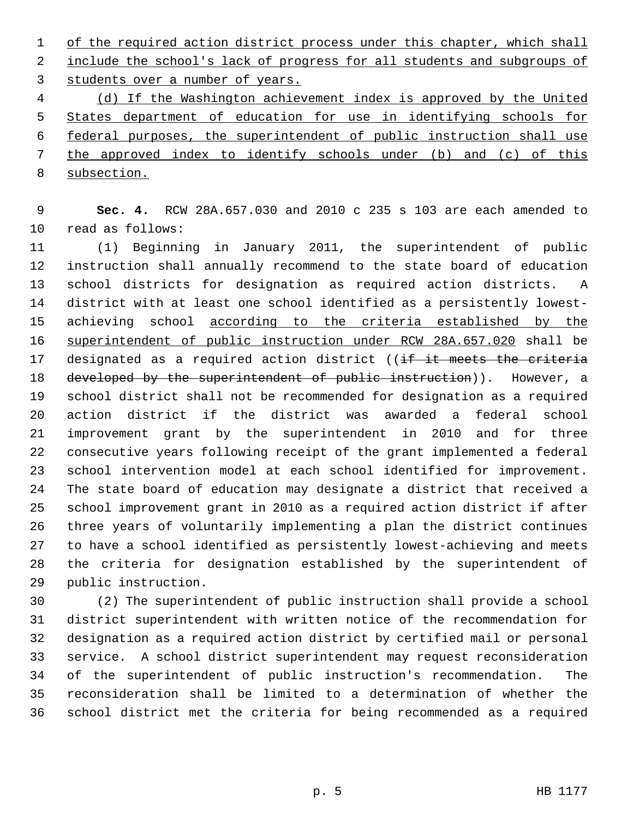1 of the required action district process under this chapter, which shall 2 include the school's lack of progress for all students and subgroups of 3 students over a number of years.

 (d) If the Washington achievement index is approved by the United States department of education for use in identifying schools for federal purposes, the superintendent of public instruction shall use the approved index to identify schools under (b) and (c) of this subsection.

 9 **Sec. 4.** RCW 28A.657.030 and 2010 c 235 s 103 are each amended to 10 read as follows:

11 (1) Beginning in January 2011, the superintendent of public 12 instruction shall annually recommend to the state board of education 13 school districts for designation as required action districts. A 14 district with at least one school identified as a persistently lowest-15 achieving school according to the criteria established by the 16 superintendent of public instruction under RCW 28A.657.020 shall be 17 designated as a required action district ((if it meets the criteria 18 developed by the superintendent of public instruction)). However, a 19 school district shall not be recommended for designation as a required 20 action district if the district was awarded a federal school 21 improvement grant by the superintendent in 2010 and for three 22 consecutive years following receipt of the grant implemented a federal 23 school intervention model at each school identified for improvement. 24 The state board of education may designate a district that received a 25 school improvement grant in 2010 as a required action district if after 26 three years of voluntarily implementing a plan the district continues 27 to have a school identified as persistently lowest-achieving and meets 28 the criteria for designation established by the superintendent of 29 public instruction.

30 (2) The superintendent of public instruction shall provide a school 31 district superintendent with written notice of the recommendation for 32 designation as a required action district by certified mail or personal 33 service. A school district superintendent may request reconsideration 34 of the superintendent of public instruction's recommendation. The 35 reconsideration shall be limited to a determination of whether the 36 school district met the criteria for being recommended as a required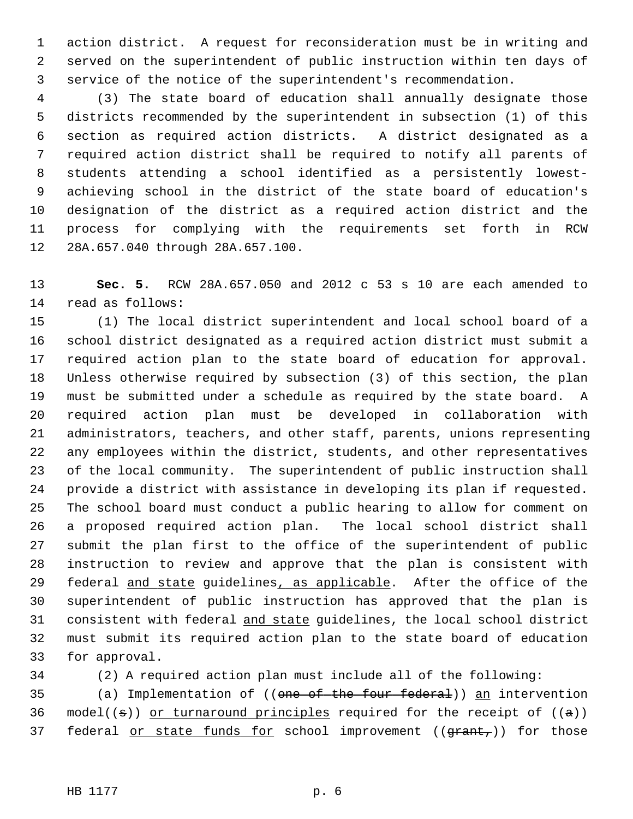1 action district. A request for reconsideration must be in writing and 2 served on the superintendent of public instruction within ten days of 3 service of the notice of the superintendent's recommendation.

 4 (3) The state board of education shall annually designate those 5 districts recommended by the superintendent in subsection (1) of this 6 section as required action districts. A district designated as a 7 required action district shall be required to notify all parents of 8 students attending a school identified as a persistently lowest- 9 achieving school in the district of the state board of education's 10 designation of the district as a required action district and the 11 process for complying with the requirements set forth in RCW 12 28A.657.040 through 28A.657.100.

13 **Sec. 5.** RCW 28A.657.050 and 2012 c 53 s 10 are each amended to 14 read as follows:

15 (1) The local district superintendent and local school board of a 16 school district designated as a required action district must submit a 17 required action plan to the state board of education for approval. 18 Unless otherwise required by subsection (3) of this section, the plan 19 must be submitted under a schedule as required by the state board. A 20 required action plan must be developed in collaboration with 21 administrators, teachers, and other staff, parents, unions representing 22 any employees within the district, students, and other representatives 23 of the local community. The superintendent of public instruction shall 24 provide a district with assistance in developing its plan if requested. 25 The school board must conduct a public hearing to allow for comment on 26 a proposed required action plan. The local school district shall 27 submit the plan first to the office of the superintendent of public 28 instruction to review and approve that the plan is consistent with 29 federal and state guidelines, as applicable. After the office of the 30 superintendent of public instruction has approved that the plan is 31 consistent with federal and state guidelines, the local school district 32 must submit its required action plan to the state board of education 33 for approval.

34 (2) A required action plan must include all of the following:

35 (a) Implementation of ((one of the four federal)) an intervention 36 model(( $\pm$ )) or turnaround principles required for the receipt of ( $\pm$ ))

37 federal or state funds for school improvement  $((\text{grant}_t))$  for those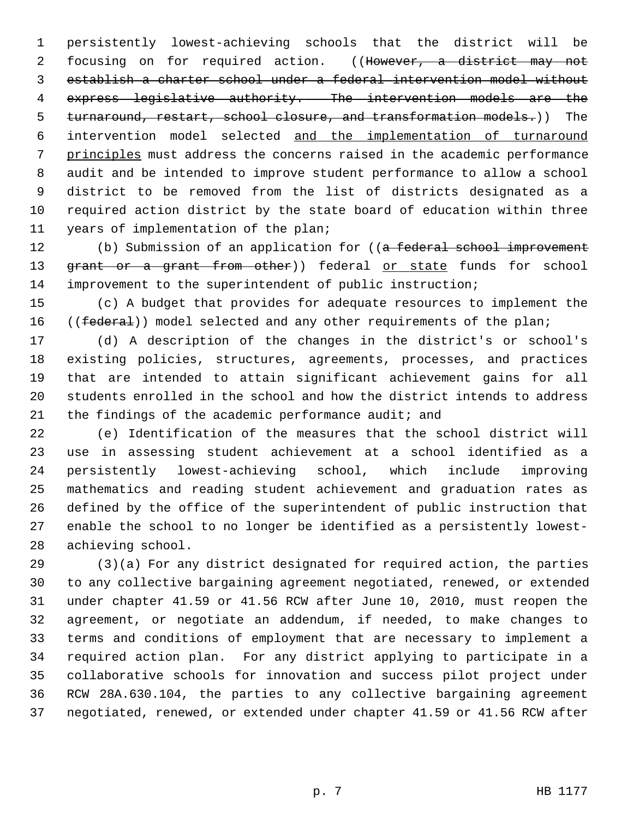1 persistently lowest-achieving schools that the district will be 2 focusing on for required action. ((However, a district may not 3 establish a charter school under a federal intervention model without 4 express legislative authority. The intervention models are the 5 turnaround, restart, school closure, and transformation models.)) The 6 intervention model selected and the implementation of turnaround 7 principles must address the concerns raised in the academic performance 8 audit and be intended to improve student performance to allow a school 9 district to be removed from the list of districts designated as a 10 required action district by the state board of education within three 11 years of implementation of the plan;

12 (b) Submission of an application for ((a federal school improvement 13 grant or a grant from other)) federal or state funds for school 14 improvement to the superintendent of public instruction;

15 (c) A budget that provides for adequate resources to implement the 16 ((federal)) model selected and any other requirements of the plan;

17 (d) A description of the changes in the district's or school's 18 existing policies, structures, agreements, processes, and practices 19 that are intended to attain significant achievement gains for all 20 students enrolled in the school and how the district intends to address 21 the findings of the academic performance audit; and

22 (e) Identification of the measures that the school district will 23 use in assessing student achievement at a school identified as a 24 persistently lowest-achieving school, which include improving 25 mathematics and reading student achievement and graduation rates as 26 defined by the office of the superintendent of public instruction that 27 enable the school to no longer be identified as a persistently lowest-28 achieving school.

29 (3)(a) For any district designated for required action, the parties 30 to any collective bargaining agreement negotiated, renewed, or extended 31 under chapter 41.59 or 41.56 RCW after June 10, 2010, must reopen the 32 agreement, or negotiate an addendum, if needed, to make changes to 33 terms and conditions of employment that are necessary to implement a 34 required action plan. For any district applying to participate in a 35 collaborative schools for innovation and success pilot project under 36 RCW 28A.630.104, the parties to any collective bargaining agreement 37 negotiated, renewed, or extended under chapter 41.59 or 41.56 RCW after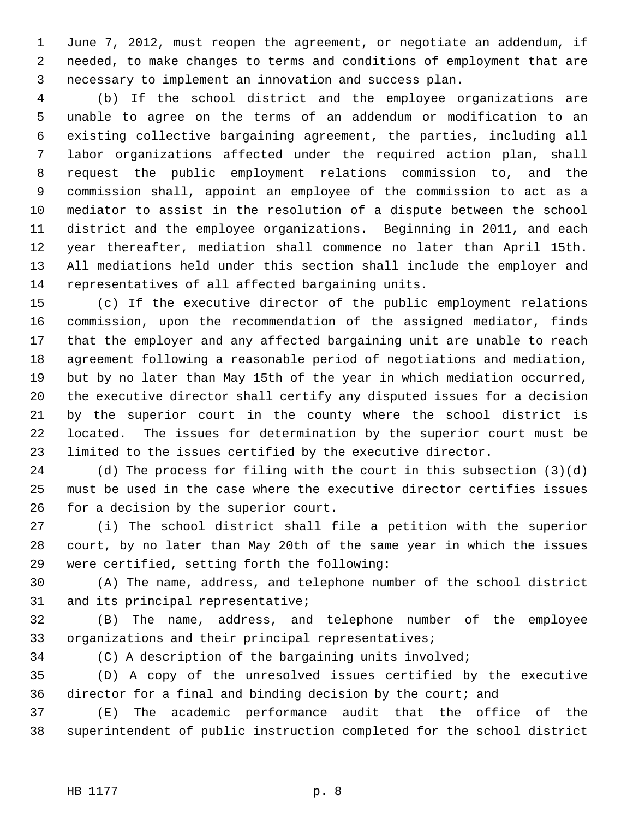1 June 7, 2012, must reopen the agreement, or negotiate an addendum, if 2 needed, to make changes to terms and conditions of employment that are 3 necessary to implement an innovation and success plan.

 4 (b) If the school district and the employee organizations are 5 unable to agree on the terms of an addendum or modification to an 6 existing collective bargaining agreement, the parties, including all 7 labor organizations affected under the required action plan, shall 8 request the public employment relations commission to, and the 9 commission shall, appoint an employee of the commission to act as a 10 mediator to assist in the resolution of a dispute between the school 11 district and the employee organizations. Beginning in 2011, and each 12 year thereafter, mediation shall commence no later than April 15th. 13 All mediations held under this section shall include the employer and 14 representatives of all affected bargaining units.

15 (c) If the executive director of the public employment relations 16 commission, upon the recommendation of the assigned mediator, finds 17 that the employer and any affected bargaining unit are unable to reach 18 agreement following a reasonable period of negotiations and mediation, 19 but by no later than May 15th of the year in which mediation occurred, 20 the executive director shall certify any disputed issues for a decision 21 by the superior court in the county where the school district is 22 located. The issues for determination by the superior court must be 23 limited to the issues certified by the executive director.

24 (d) The process for filing with the court in this subsection (3)(d) 25 must be used in the case where the executive director certifies issues 26 for a decision by the superior court.

27 (i) The school district shall file a petition with the superior 28 court, by no later than May 20th of the same year in which the issues 29 were certified, setting forth the following:

30 (A) The name, address, and telephone number of the school district 31 and its principal representative;

32 (B) The name, address, and telephone number of the employee 33 organizations and their principal representatives;

34 (C) A description of the bargaining units involved;

35 (D) A copy of the unresolved issues certified by the executive 36 director for a final and binding decision by the court; and

37 (E) The academic performance audit that the office of the 38 superintendent of public instruction completed for the school district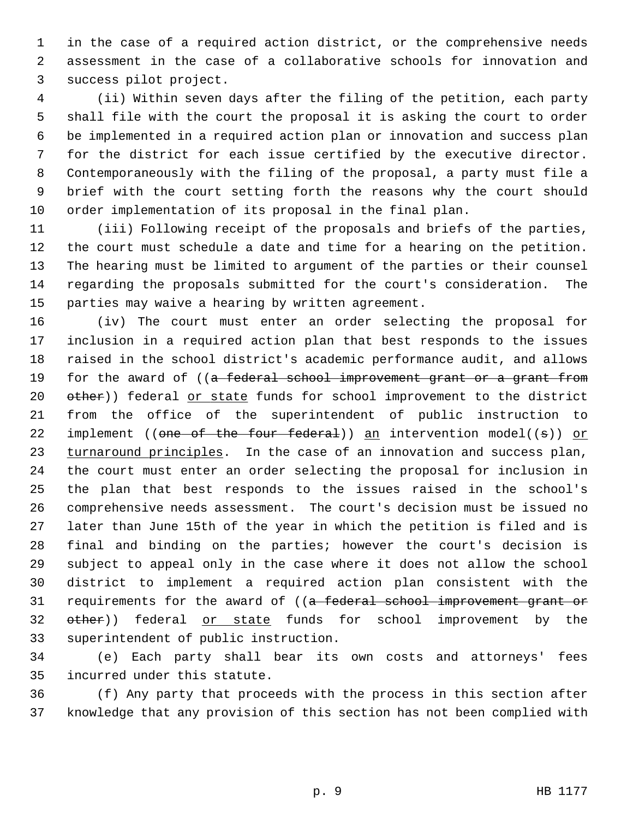1 in the case of a required action district, or the comprehensive needs 2 assessment in the case of a collaborative schools for innovation and 3 success pilot project.

 4 (ii) Within seven days after the filing of the petition, each party 5 shall file with the court the proposal it is asking the court to order 6 be implemented in a required action plan or innovation and success plan 7 for the district for each issue certified by the executive director. 8 Contemporaneously with the filing of the proposal, a party must file a 9 brief with the court setting forth the reasons why the court should 10 order implementation of its proposal in the final plan.

11 (iii) Following receipt of the proposals and briefs of the parties, 12 the court must schedule a date and time for a hearing on the petition. 13 The hearing must be limited to argument of the parties or their counsel 14 regarding the proposals submitted for the court's consideration. The 15 parties may waive a hearing by written agreement.

16 (iv) The court must enter an order selecting the proposal for 17 inclusion in a required action plan that best responds to the issues 18 raised in the school district's academic performance audit, and allows 19 for the award of ((a federal school improvement grant or a grant from 20 other)) federal or state funds for school improvement to the district 21 from the office of the superintendent of public instruction to 22 implement (( $\theta$ ne of the four federal)) an intervention model(( $\theta$ )) or 23 turnaround principles. In the case of an innovation and success plan, 24 the court must enter an order selecting the proposal for inclusion in 25 the plan that best responds to the issues raised in the school's 26 comprehensive needs assessment. The court's decision must be issued no 27 later than June 15th of the year in which the petition is filed and is 28 final and binding on the parties; however the court's decision is 29 subject to appeal only in the case where it does not allow the school 30 district to implement a required action plan consistent with the 31 requirements for the award of ((a federal school improvement grant or 32 other)) federal or state funds for school improvement by the 33 superintendent of public instruction.

34 (e) Each party shall bear its own costs and attorneys' fees 35 incurred under this statute.

36 (f) Any party that proceeds with the process in this section after 37 knowledge that any provision of this section has not been complied with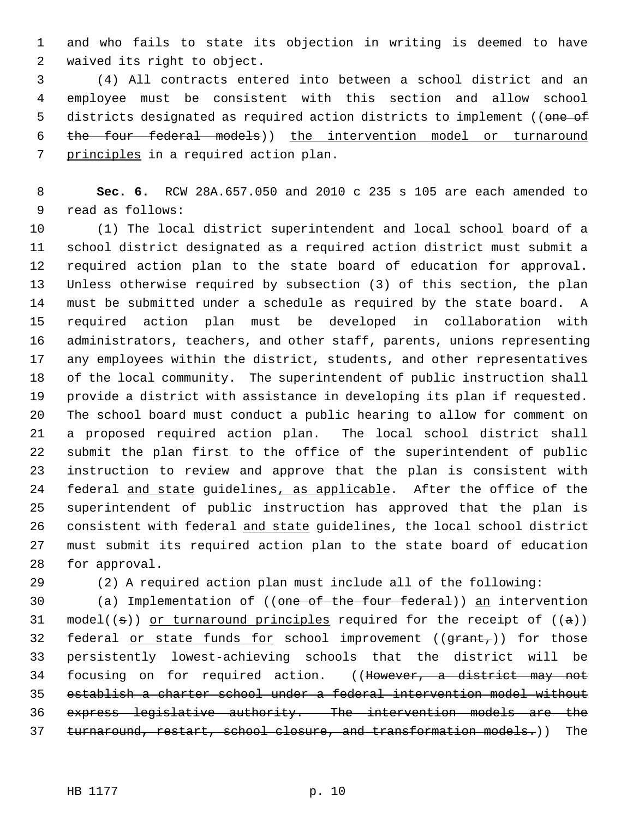1 and who fails to state its objection in writing is deemed to have 2 waived its right to object.

 3 (4) All contracts entered into between a school district and an 4 employee must be consistent with this section and allow school 5 districts designated as required action districts to implement ((one of 6 the four federal models)) the intervention model or turnaround 7 principles in a required action plan.

 8 **Sec. 6.** RCW 28A.657.050 and 2010 c 235 s 105 are each amended to 9 read as follows:

10 (1) The local district superintendent and local school board of a 11 school district designated as a required action district must submit a 12 required action plan to the state board of education for approval. 13 Unless otherwise required by subsection (3) of this section, the plan 14 must be submitted under a schedule as required by the state board. A 15 required action plan must be developed in collaboration with 16 administrators, teachers, and other staff, parents, unions representing 17 any employees within the district, students, and other representatives 18 of the local community. The superintendent of public instruction shall 19 provide a district with assistance in developing its plan if requested. 20 The school board must conduct a public hearing to allow for comment on 21 a proposed required action plan. The local school district shall 22 submit the plan first to the office of the superintendent of public 23 instruction to review and approve that the plan is consistent with 24 federal and state guidelines, as applicable. After the office of the 25 superintendent of public instruction has approved that the plan is 26 consistent with federal and state guidelines, the local school district 27 must submit its required action plan to the state board of education 28 for approval.

29 (2) A required action plan must include all of the following:

30 (a) Implementation of ((one of the four federal)) an intervention 31 model(( $\pm$ )) or turnaround principles required for the receipt of ( $\pm$ )) 32 federal or state funds for school improvement  $((\text{grant}_t))$  for those 33 persistently lowest-achieving schools that the district will be 34 focusing on for required action. ((However, a district may not 35 establish a charter school under a federal intervention model without 36 express legislative authority. The intervention models are the 37 turnaround, restart, school closure, and transformation models.)) The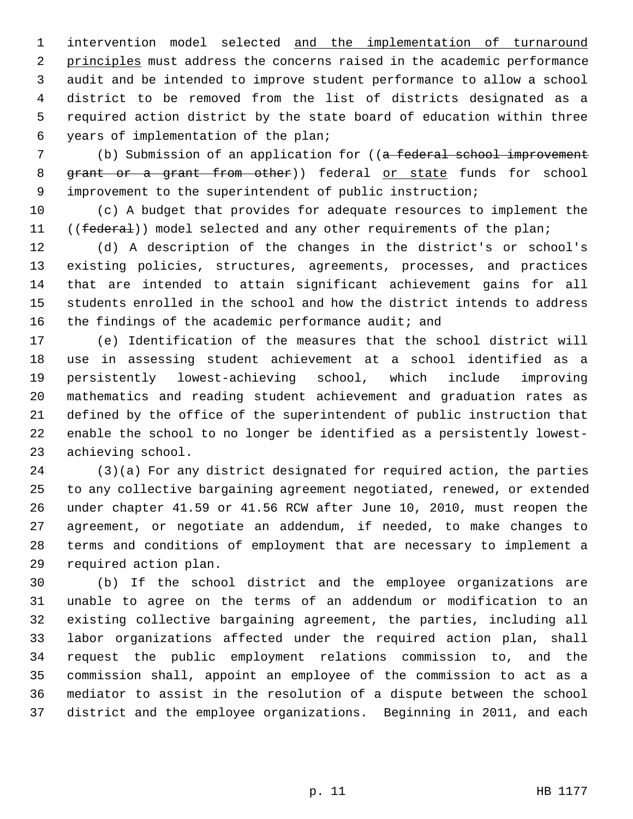1 intervention model selected and the implementation of turnaround 2 principles must address the concerns raised in the academic performance 3 audit and be intended to improve student performance to allow a school 4 district to be removed from the list of districts designated as a 5 required action district by the state board of education within three 6 years of implementation of the plan;

7 (b) Submission of an application for ((a federal school improvement 8 grant or a grant from other)) federal or state funds for school 9 improvement to the superintendent of public instruction;

10 (c) A budget that provides for adequate resources to implement the 11 ((federal)) model selected and any other requirements of the plan;

12 (d) A description of the changes in the district's or school's 13 existing policies, structures, agreements, processes, and practices 14 that are intended to attain significant achievement gains for all 15 students enrolled in the school and how the district intends to address 16 the findings of the academic performance audit; and

17 (e) Identification of the measures that the school district will 18 use in assessing student achievement at a school identified as a 19 persistently lowest-achieving school, which include improving 20 mathematics and reading student achievement and graduation rates as 21 defined by the office of the superintendent of public instruction that 22 enable the school to no longer be identified as a persistently lowest-23 achieving school.

24 (3)(a) For any district designated for required action, the parties 25 to any collective bargaining agreement negotiated, renewed, or extended 26 under chapter 41.59 or 41.56 RCW after June 10, 2010, must reopen the 27 agreement, or negotiate an addendum, if needed, to make changes to 28 terms and conditions of employment that are necessary to implement a 29 required action plan.

30 (b) If the school district and the employee organizations are 31 unable to agree on the terms of an addendum or modification to an 32 existing collective bargaining agreement, the parties, including all 33 labor organizations affected under the required action plan, shall 34 request the public employment relations commission to, and the 35 commission shall, appoint an employee of the commission to act as a 36 mediator to assist in the resolution of a dispute between the school 37 district and the employee organizations. Beginning in 2011, and each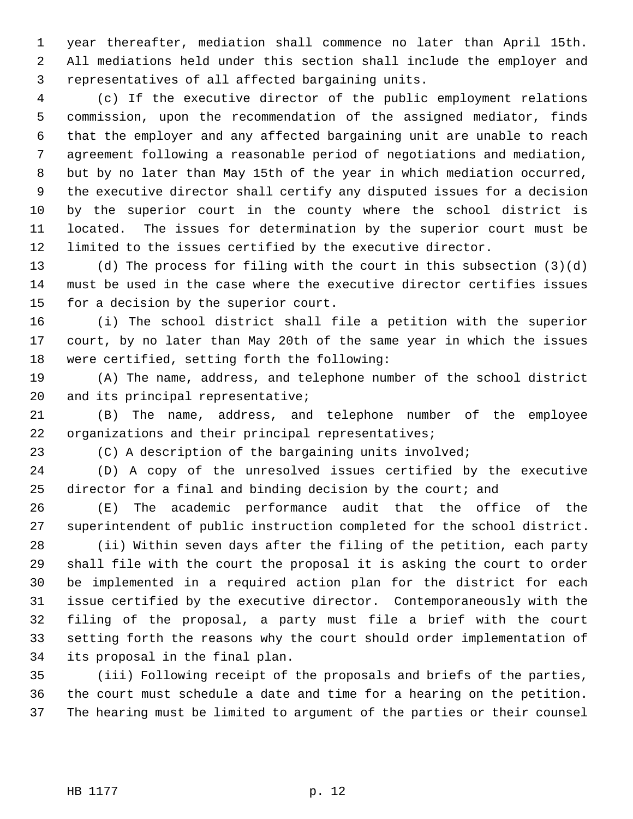1 year thereafter, mediation shall commence no later than April 15th. 2 All mediations held under this section shall include the employer and 3 representatives of all affected bargaining units.

 4 (c) If the executive director of the public employment relations 5 commission, upon the recommendation of the assigned mediator, finds 6 that the employer and any affected bargaining unit are unable to reach 7 agreement following a reasonable period of negotiations and mediation, 8 but by no later than May 15th of the year in which mediation occurred, 9 the executive director shall certify any disputed issues for a decision 10 by the superior court in the county where the school district is 11 located. The issues for determination by the superior court must be 12 limited to the issues certified by the executive director.

13 (d) The process for filing with the court in this subsection (3)(d) 14 must be used in the case where the executive director certifies issues 15 for a decision by the superior court.

16 (i) The school district shall file a petition with the superior 17 court, by no later than May 20th of the same year in which the issues 18 were certified, setting forth the following:

19 (A) The name, address, and telephone number of the school district 20 and its principal representative;

21 (B) The name, address, and telephone number of the employee 22 organizations and their principal representatives;

23 (C) A description of the bargaining units involved;

24 (D) A copy of the unresolved issues certified by the executive 25 director for a final and binding decision by the court; and

26 (E) The academic performance audit that the office of the 27 superintendent of public instruction completed for the school district.

28 (ii) Within seven days after the filing of the petition, each party 29 shall file with the court the proposal it is asking the court to order 30 be implemented in a required action plan for the district for each 31 issue certified by the executive director. Contemporaneously with the 32 filing of the proposal, a party must file a brief with the court 33 setting forth the reasons why the court should order implementation of 34 its proposal in the final plan.

35 (iii) Following receipt of the proposals and briefs of the parties, 36 the court must schedule a date and time for a hearing on the petition. 37 The hearing must be limited to argument of the parties or their counsel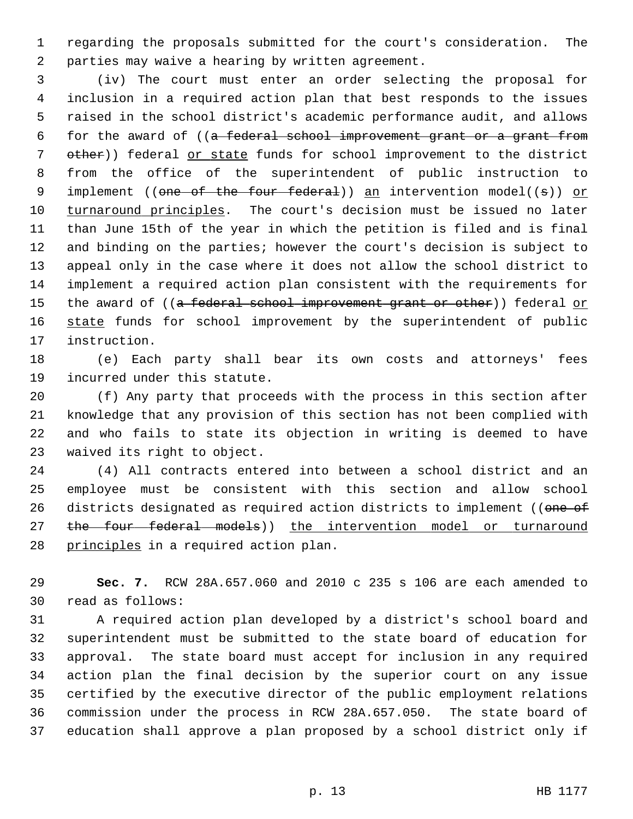1 regarding the proposals submitted for the court's consideration. The 2 parties may waive a hearing by written agreement.

 3 (iv) The court must enter an order selecting the proposal for 4 inclusion in a required action plan that best responds to the issues 5 raised in the school district's academic performance audit, and allows 6 for the award of ((a federal school improvement grant or a grant from 7 other)) federal or state funds for school improvement to the district 8 from the office of the superintendent of public instruction to 9 implement ((one of the four federal)) an intervention model((s)) or 10 turnaround principles. The court's decision must be issued no later 11 than June 15th of the year in which the petition is filed and is final 12 and binding on the parties; however the court's decision is subject to 13 appeal only in the case where it does not allow the school district to 14 implement a required action plan consistent with the requirements for 15 the award of ((a federal school improvement grant or other)) federal or 16 state funds for school improvement by the superintendent of public 17 instruction.

18 (e) Each party shall bear its own costs and attorneys' fees 19 incurred under this statute.

20 (f) Any party that proceeds with the process in this section after 21 knowledge that any provision of this section has not been complied with 22 and who fails to state its objection in writing is deemed to have 23 waived its right to object.

24 (4) All contracts entered into between a school district and an 25 employee must be consistent with this section and allow school 26 districts designated as required action districts to implement ((one of 27 the four federal models)) the intervention model or turnaround 28 principles in a required action plan.

29 **Sec. 7.** RCW 28A.657.060 and 2010 c 235 s 106 are each amended to 30 read as follows:

31 A required action plan developed by a district's school board and 32 superintendent must be submitted to the state board of education for 33 approval. The state board must accept for inclusion in any required 34 action plan the final decision by the superior court on any issue 35 certified by the executive director of the public employment relations 36 commission under the process in RCW 28A.657.050. The state board of 37 education shall approve a plan proposed by a school district only if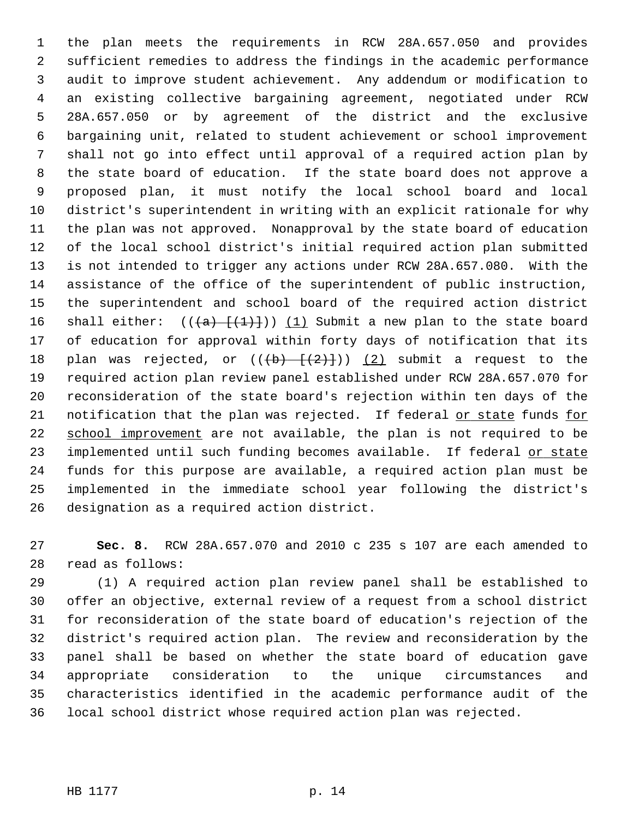1 the plan meets the requirements in RCW 28A.657.050 and provides 2 sufficient remedies to address the findings in the academic performance 3 audit to improve student achievement. Any addendum or modification to 4 an existing collective bargaining agreement, negotiated under RCW 5 28A.657.050 or by agreement of the district and the exclusive 6 bargaining unit, related to student achievement or school improvement 7 shall not go into effect until approval of a required action plan by 8 the state board of education. If the state board does not approve a 9 proposed plan, it must notify the local school board and local 10 district's superintendent in writing with an explicit rationale for why 11 the plan was not approved. Nonapproval by the state board of education 12 of the local school district's initial required action plan submitted 13 is not intended to trigger any actions under RCW 28A.657.080. With the 14 assistance of the office of the superintendent of public instruction, 15 the superintendent and school board of the required action district 16 shall either:  $((+a)$   $+(1)+$ )) (1) Submit a new plan to the state board 17 of education for approval within forty days of notification that its 18 plan was rejected, or  $((+b) - \{(2)\})$  (2) submit a request to the 19 required action plan review panel established under RCW 28A.657.070 for 20 reconsideration of the state board's rejection within ten days of the 21 notification that the plan was rejected. If federal or state funds for 22 school improvement are not available, the plan is not required to be 23 implemented until such funding becomes available. If federal or state 24 funds for this purpose are available, a required action plan must be 25 implemented in the immediate school year following the district's 26 designation as a required action district.

27 **Sec. 8.** RCW 28A.657.070 and 2010 c 235 s 107 are each amended to 28 read as follows:

29 (1) A required action plan review panel shall be established to 30 offer an objective, external review of a request from a school district 31 for reconsideration of the state board of education's rejection of the 32 district's required action plan. The review and reconsideration by the 33 panel shall be based on whether the state board of education gave 34 appropriate consideration to the unique circumstances and 35 characteristics identified in the academic performance audit of the 36 local school district whose required action plan was rejected.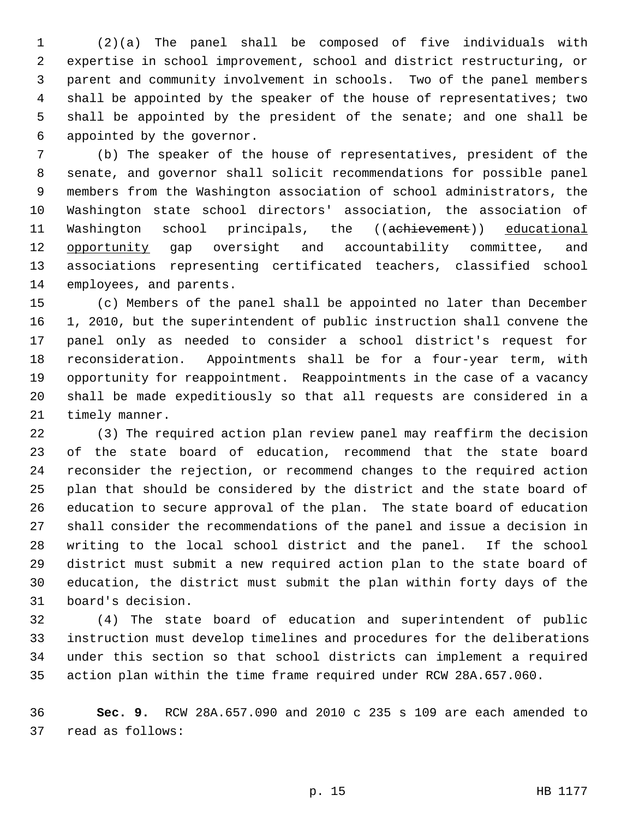1 (2)(a) The panel shall be composed of five individuals with 2 expertise in school improvement, school and district restructuring, or 3 parent and community involvement in schools. Two of the panel members 4 shall be appointed by the speaker of the house of representatives; two 5 shall be appointed by the president of the senate; and one shall be 6 appointed by the governor.

 7 (b) The speaker of the house of representatives, president of the 8 senate, and governor shall solicit recommendations for possible panel 9 members from the Washington association of school administrators, the 10 Washington state school directors' association, the association of 11 Washington school principals, the ((achievement)) educational 12 opportunity gap oversight and accountability committee, and 13 associations representing certificated teachers, classified school 14 employees, and parents.

15 (c) Members of the panel shall be appointed no later than December 16 1, 2010, but the superintendent of public instruction shall convene the 17 panel only as needed to consider a school district's request for 18 reconsideration. Appointments shall be for a four-year term, with 19 opportunity for reappointment. Reappointments in the case of a vacancy 20 shall be made expeditiously so that all requests are considered in a 21 timely manner.

22 (3) The required action plan review panel may reaffirm the decision 23 of the state board of education, recommend that the state board 24 reconsider the rejection, or recommend changes to the required action 25 plan that should be considered by the district and the state board of 26 education to secure approval of the plan. The state board of education 27 shall consider the recommendations of the panel and issue a decision in 28 writing to the local school district and the panel. If the school 29 district must submit a new required action plan to the state board of 30 education, the district must submit the plan within forty days of the 31 board's decision.

32 (4) The state board of education and superintendent of public 33 instruction must develop timelines and procedures for the deliberations 34 under this section so that school districts can implement a required 35 action plan within the time frame required under RCW 28A.657.060.

36 **Sec. 9.** RCW 28A.657.090 and 2010 c 235 s 109 are each amended to 37 read as follows: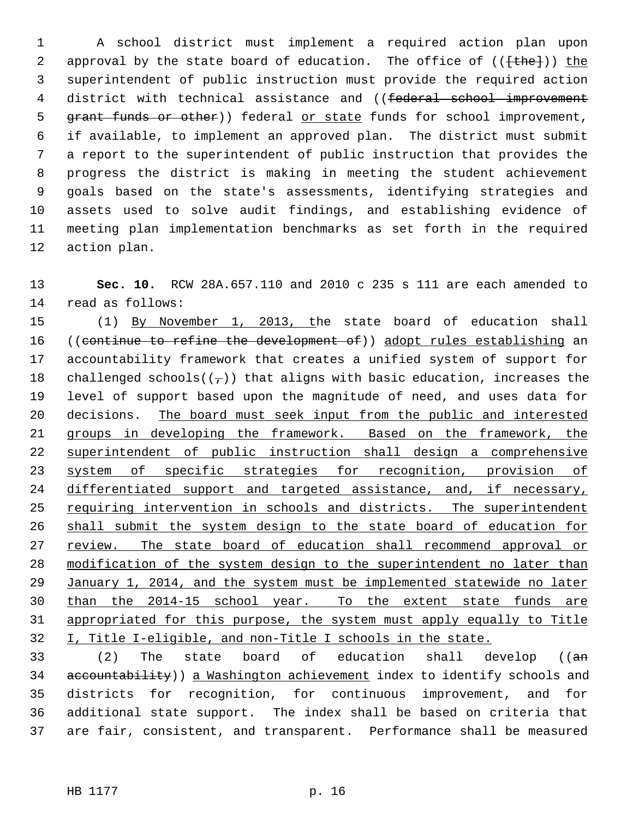1 A school district must implement a required action plan upon 2 approval by the state board of education. The office of  $((\text{the-})^2)$  the 3 superintendent of public instruction must provide the required action 4 district with technical assistance and ((federal school improvement 5 grant funds or other)) federal or state funds for school improvement, 6 if available, to implement an approved plan. The district must submit 7 a report to the superintendent of public instruction that provides the 8 progress the district is making in meeting the student achievement 9 goals based on the state's assessments, identifying strategies and 10 assets used to solve audit findings, and establishing evidence of 11 meeting plan implementation benchmarks as set forth in the required 12 action plan.

13 **Sec. 10.** RCW 28A.657.110 and 2010 c 235 s 111 are each amended to 14 read as follows:

15 (1) By November 1, 2013, the state board of education shall 16 ((continue to refine the development of)) adopt rules establishing an 17 accountability framework that creates a unified system of support for 18 challenged schools( $(\tau)$ ) that aligns with basic education, increases the 19 level of support based upon the magnitude of need, and uses data for 20 decisions. The board must seek input from the public and interested groups in developing the framework. Based on the framework, the superintendent of public instruction shall design a comprehensive system of specific strategies for recognition, provision of 24 differentiated support and targeted assistance, and, if necessary, requiring intervention in schools and districts. The superintendent shall submit the system design to the state board of education for review. The state board of education shall recommend approval or modification of the system design to the superintendent no later than January 1, 2014, and the system must be implemented statewide no later than the 2014-15 school year. To the extent state funds are appropriated for this purpose, the system must apply equally to Title I, Title I-eligible, and non-Title I schools in the state.

33 (2) The state board of education shall develop ((an 34 accountability)) a Washington achievement index to identify schools and 35 districts for recognition, for continuous improvement, and for 36 additional state support. The index shall be based on criteria that 37 are fair, consistent, and transparent. Performance shall be measured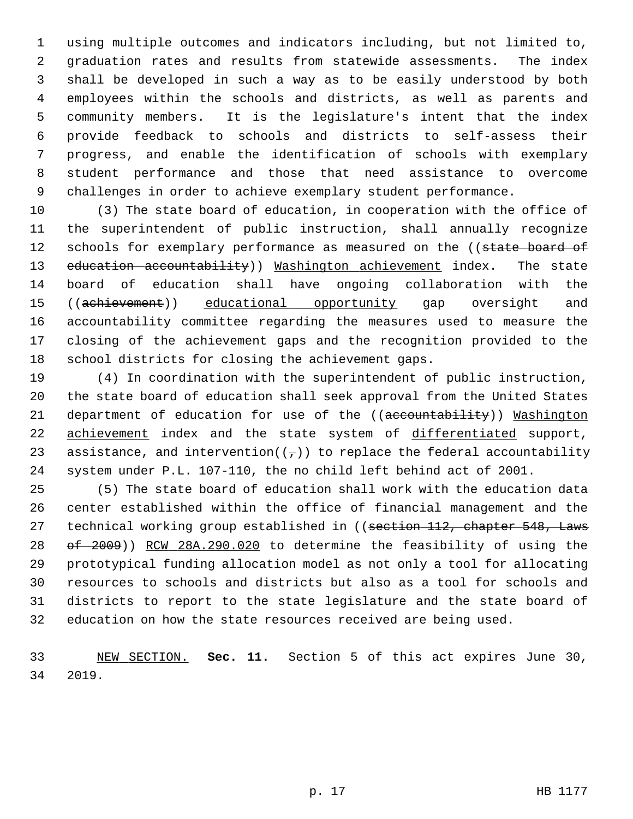1 using multiple outcomes and indicators including, but not limited to, 2 graduation rates and results from statewide assessments. The index 3 shall be developed in such a way as to be easily understood by both 4 employees within the schools and districts, as well as parents and 5 community members. It is the legislature's intent that the index 6 provide feedback to schools and districts to self-assess their 7 progress, and enable the identification of schools with exemplary 8 student performance and those that need assistance to overcome 9 challenges in order to achieve exemplary student performance.

10 (3) The state board of education, in cooperation with the office of 11 the superintendent of public instruction, shall annually recognize 12 schools for exemplary performance as measured on the ((state board of 13 education accountability)) Washington achievement index. The state 14 board of education shall have ongoing collaboration with the 15 ((achievement)) educational opportunity gap oversight and 16 accountability committee regarding the measures used to measure the 17 closing of the achievement gaps and the recognition provided to the 18 school districts for closing the achievement gaps.

19 (4) In coordination with the superintendent of public instruction, 20 the state board of education shall seek approval from the United States 21 department of education for use of the ((accountability)) Washington 22 achievement index and the state system of differentiated support, 23 assistance, and intervention( $(\tau)$ ) to replace the federal accountability 24 system under P.L. 107-110, the no child left behind act of 2001.

25 (5) The state board of education shall work with the education data 26 center established within the office of financial management and the 27 technical working group established in ((section 112, chapter 548, Laws 28 of 2009)) RCW 28A.290.020 to determine the feasibility of using the 29 prototypical funding allocation model as not only a tool for allocating 30 resources to schools and districts but also as a tool for schools and 31 districts to report to the state legislature and the state board of 32 education on how the state resources received are being used.

33 NEW SECTION. **Sec. 11.** Section 5 of this act expires June 30, 34 2019.